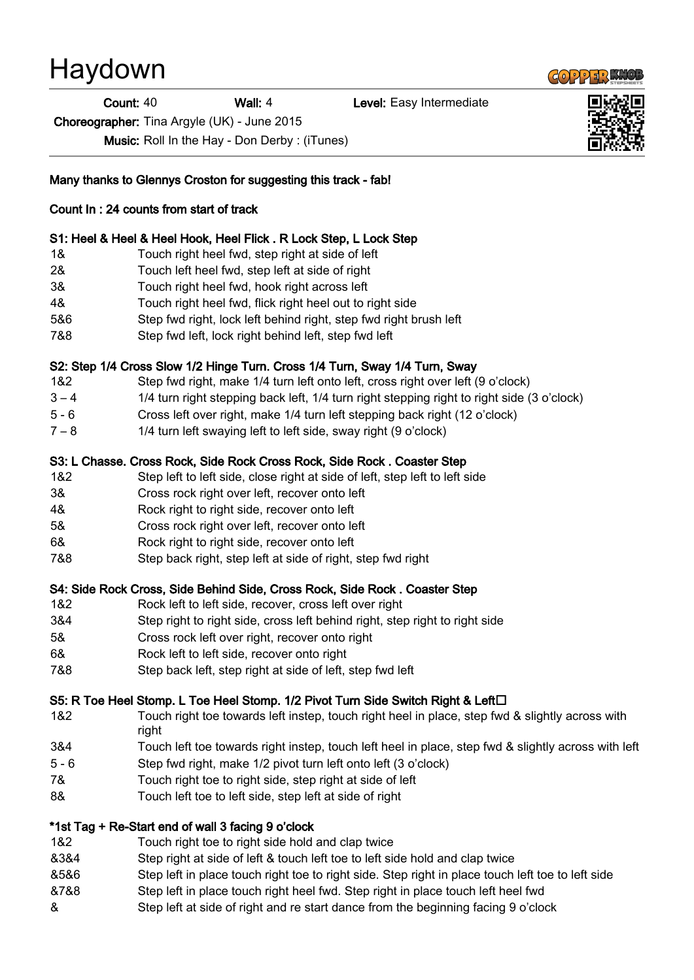# Haydown

**Count: 40** Wall: 4 **Wall: 4** Level: Easy Intermediate

Choreographer: Tina Argyle (UK) - June 2015

Music: Roll In the Hay - Don Derby : (iTunes)

Many thanks to Glennys Croston for suggesting this track - fab!

## Count In : 24 counts from start of track

#### S1: Heel & Heel & Heel Hook, Heel Flick . R Lock Step, L Lock Step

- 1& Touch right heel fwd, step right at side of left
- 2& Touch left heel fwd, step left at side of right
- 3& Touch right heel fwd, hook right across left
- 4& Touch right heel fwd, flick right heel out to right side
- 5&6 Step fwd right, lock left behind right, step fwd right brush left
- 7&8 Step fwd left, lock right behind left, step fwd left

#### S2: Step 1/4 Cross Slow 1/2 Hinge Turn. Cross 1/4 Turn, Sway 1/4 Turn, Sway

- 1&2 Step fwd right, make 1/4 turn left onto left, cross right over left (9 o'clock)
- 3 4 1/4 turn right stepping back left, 1/4 turn right stepping right to right side (3 o'clock)
- 5 6 Cross left over right, make 1/4 turn left stepping back right (12 o'clock)
- 7 8 1/4 turn left swaying left to left side, sway right (9 o'clock)

#### S3: L Chasse. Cross Rock, Side Rock Cross Rock, Side Rock . Coaster Step

- 1&2 Step left to left side, close right at side of left, step left to left side
- 3& Cross rock right over left, recover onto left
- 4& Rock right to right side, recover onto left
- 5& Cross rock right over left, recover onto left
- 6& Rock right to right side, recover onto left
- 7&8 Step back right, step left at side of right, step fwd right

#### S4: Side Rock Cross, Side Behind Side, Cross Rock, Side Rock . Coaster Step

- 1&2 Rock left to left side, recover, cross left over right
- 3&4 Step right to right side, cross left behind right, step right to right side
- 5& Cross rock left over right, recover onto right
- 6& Rock left to left side, recover onto right
- 7&8 Step back left, step right at side of left, step fwd left

#### S5: R Toe Heel Stomp. L Toe Heel Stomp. 1/2 Pivot Turn Side Switch Right & Left□

- 1&2 Touch right toe towards left instep, touch right heel in place, step fwd & slightly across with right
- 3&4 Touch left toe towards right instep, touch left heel in place, step fwd & slightly across with left
- 5 6 Step fwd right, make 1/2 pivot turn left onto left (3 o'clock)
- 7& Touch right toe to right side, step right at side of left
- 8& Touch left toe to left side, step left at side of right

#### \*1st Tag + Re-Start end of wall 3 facing 9 o'clock

- 1&2 Touch right toe to right side hold and clap twice
- &3&4 Step right at side of left & touch left toe to left side hold and clap twice
- &5&6 Step left in place touch right toe to right side. Step right in place touch left toe to left side
- &7&8 Step left in place touch right heel fwd. Step right in place touch left heel fwd
- & Step left at side of right and re start dance from the beginning facing 9 o'clock